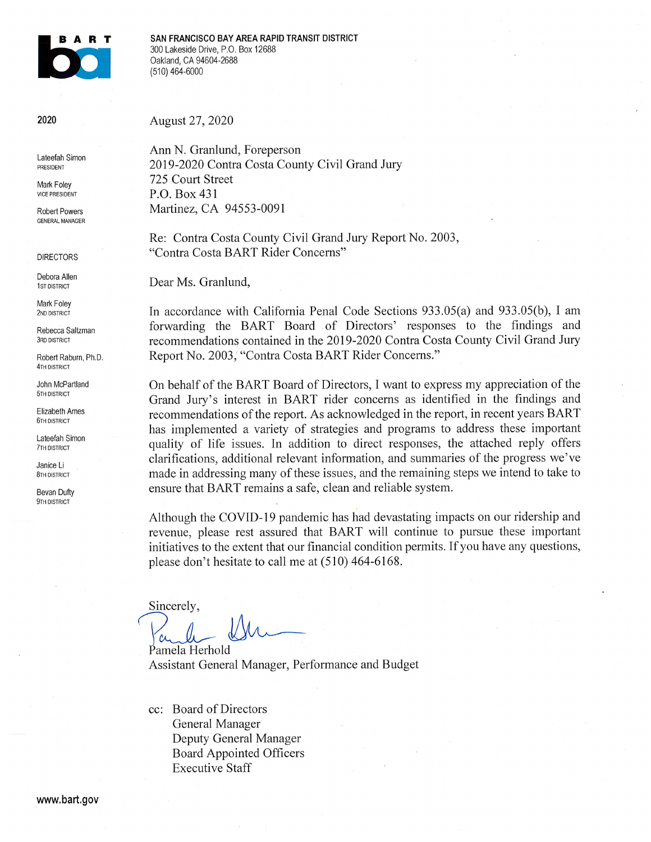

SAN FRANCISCO BAY AREA RAPID TRANSIT DISTRICT 300 Lakeside Drive, P.O. Box 12688 Oakland, CA 94604-2688 (510) 464-6000

2020

Lateefah Simon PRESIDENT

Mark Foley **VICE PRESIDENT** 

**Robert Powers GENERAL MANAGER** 

**DIRECTORS** 

Debora Allen 1ST DISTRICT

Mark Foley 2ND DISTRICT

Rebecca Saltzman **3RD DISTRICT** 

Robert Raburn, Ph.D. **4TH DISTRICT** 

John McPartland 5TH DISTRICT

**Flizabeth Ames 6TH DISTRICT** 

Lateefah Simon **7TH DISTRICT** 

Janice Li **8TH DISTRICT** 

Bevan Dufty 9TH DISTRICT

August 27, 2020

Ann N. Granlund, Foreperson 2019-2020 Contra Costa County Civil Grand Jury 725 Court Street P.O. Box 431 Martinez, CA 94553-0091

Re: Contra Costa County Civil Grand Jury Report No. 2003, "Contra Costa BART Rider Concerns"

Dear Ms. Granlund,

In accordance with California Penal Code Sections 933.05(a) and 933.05(b), I am forwarding the BART Board of Directors' responses to the findings and recommendations contained in the 2019-2020 Contra Costa County Civil Grand Jury Report No. 2003, "Contra Costa BART Rider Concerns."

On behalf of the BART Board of Directors, I want to express my appreciation of the Grand Jury's interest in BART rider concerns as identified in the findings and recommendations of the report. As acknowledged in the report, in recent years BART has implemented a variety of strategies and programs to address these important quality of life issues. In addition to direct responses, the attached reply offers clarifications, additional relevant information, and summaries of the progress we've made in addressing many of these issues, and the remaining steps we intend to take to ensure that BART remains a safe, clean and reliable system.

Although the COVID-19 pandemic has had devastating impacts on our ridership and revenue, please rest assured that BART will continue to pursue these important initiatives to the extent that our financial condition permits. If you have any questions, please don't hesitate to call me at (510) 464-6168.

Sincerely,

Pamela Herhold Assistant General Manager, Performance and Budget

cc: Board of Directors General Manager Deputy General Manager Board Appointed Officers **Executive Staff**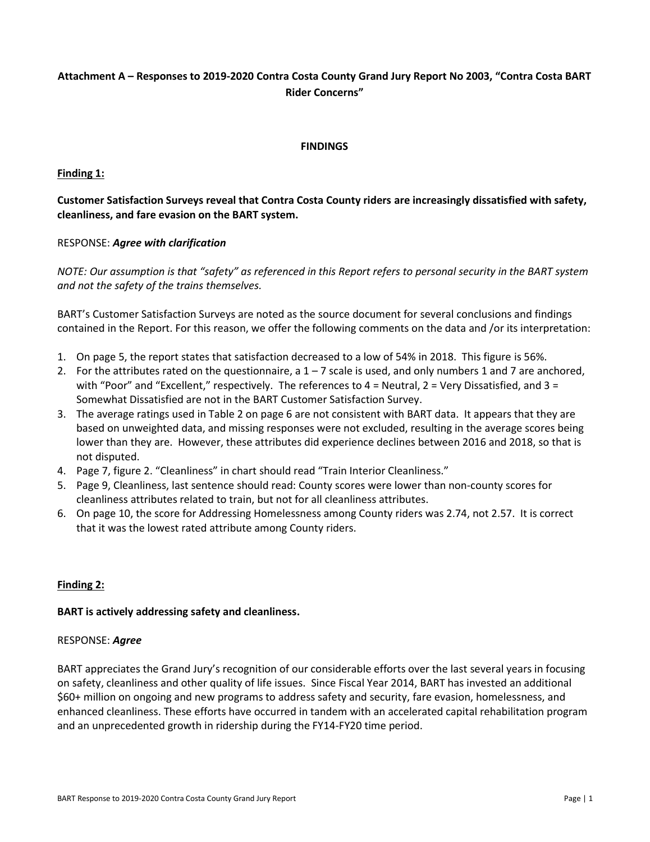# **Attachment A – Responses to 2019-2020 Contra Costa County Grand Jury Report No 2003, "Contra Costa BART Rider Concerns"**

### **FINDINGS**

# **Finding 1:**

# **Customer Satisfaction Surveys reveal that Contra Costa County riders are increasingly dissatisfied with safety, cleanliness, and fare evasion on the BART system.**

# RESPONSE: *Agree with clarification*

*NOTE: Our assumption is that "safety" as referenced in this Report refers to personal security in the BART system and not the safety of the trains themselves.*

BART's Customer Satisfaction Surveys are noted as the source document for several conclusions and findings contained in the Report. For this reason, we offer the following comments on the data and /or its interpretation:

- 1. On page 5, the report states that satisfaction decreased to a low of 54% in 2018. This figure is 56%.
- 2. For the attributes rated on the questionnaire, a  $1 7$  scale is used, and only numbers 1 and 7 are anchored, with "Poor" and "Excellent," respectively. The references to  $4$  = Neutral,  $2$  = Very Dissatisfied, and  $3$  = Somewhat Dissatisfied are not in the BART Customer Satisfaction Survey.
- 3. The average ratings used in Table 2 on page 6 are not consistent with BART data. It appears that they are based on unweighted data, and missing responses were not excluded, resulting in the average scores being lower than they are. However, these attributes did experience declines between 2016 and 2018, so that is not disputed.
- 4. Page 7, figure 2. "Cleanliness" in chart should read "Train Interior Cleanliness."
- 5. Page 9, Cleanliness, last sentence should read: County scores were lower than non-county scores for cleanliness attributes related to train, but not for all cleanliness attributes.
- 6. On page 10, the score for Addressing Homelessness among County riders was 2.74, not 2.57. It is correct that it was the lowest rated attribute among County riders.

# **Finding 2:**

#### **BART is actively addressing safety and cleanliness.**

#### RESPONSE: *Agree*

BART appreciates the Grand Jury's recognition of our considerable efforts over the last several years in focusing on safety, cleanliness and other quality of life issues. Since Fiscal Year 2014, BART has invested an additional \$60+ million on ongoing and new programs to address safety and security, fare evasion, homelessness, and enhanced cleanliness. These efforts have occurred in tandem with an accelerated capital rehabilitation program and an unprecedented growth in ridership during the FY14-FY20 time period.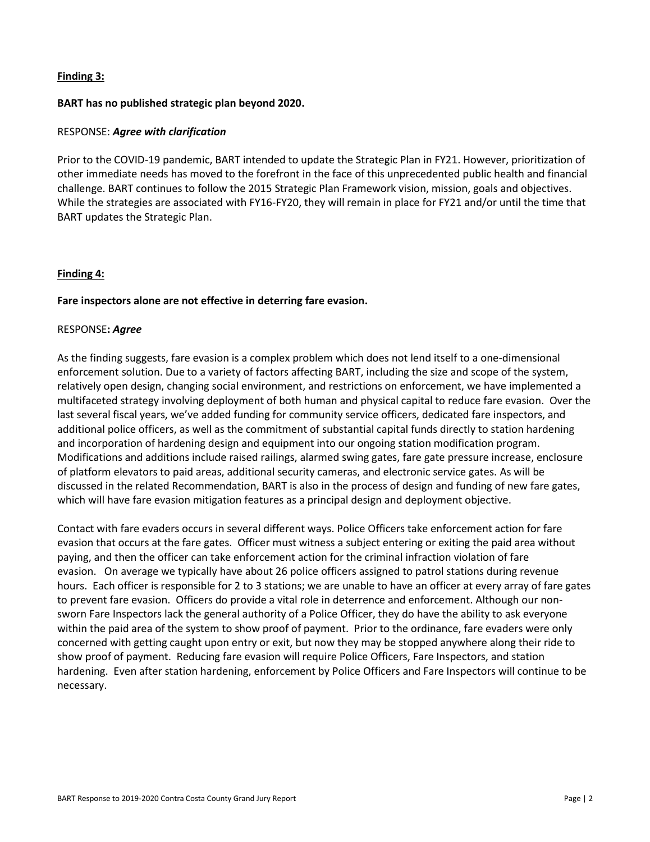# **Finding 3:**

### **BART has no published strategic plan beyond 2020.**

### RESPONSE: *Agree with clarification*

Prior to the COVID-19 pandemic, BART intended to update the Strategic Plan in FY21. However, prioritization of other immediate needs has moved to the forefront in the face of this unprecedented public health and financial challenge. BART continues to follow the 2015 Strategic Plan Framework vision, mission, goals and objectives. While the strategies are associated with FY16-FY20, they will remain in place for FY21 and/or until the time that BART updates the Strategic Plan.

### **Finding 4:**

### **Fare inspectors alone are not effective in deterring fare evasion.**

### RESPONSE**:** *Agree*

As the finding suggests, fare evasion is a complex problem which does not lend itself to a one-dimensional enforcement solution. Due to a variety of factors affecting BART, including the size and scope of the system, relatively open design, changing social environment, and restrictions on enforcement, we have implemented a multifaceted strategy involving deployment of both human and physical capital to reduce fare evasion. Over the last several fiscal years, we've added funding for community service officers, dedicated fare inspectors, and additional police officers, as well as the commitment of substantial capital funds directly to station hardening and incorporation of hardening design and equipment into our ongoing station modification program. Modifications and additions include raised railings, alarmed swing gates, fare gate pressure increase, enclosure of platform elevators to paid areas, additional security cameras, and electronic service gates. As will be discussed in the related Recommendation, BART is also in the process of design and funding of new fare gates, which will have fare evasion mitigation features as a principal design and deployment objective.

Contact with fare evaders occurs in several different ways. Police Officers take enforcement action for fare evasion that occurs at the fare gates. Officer must witness a subject entering or exiting the paid area without paying, and then the officer can take enforcement action for the criminal infraction violation of fare evasion. On average we typically have about 26 police officers assigned to patrol stations during revenue hours. Each officer is responsible for 2 to 3 stations; we are unable to have an officer at every array of fare gates to prevent fare evasion. Officers do provide a vital role in deterrence and enforcement. Although our nonsworn Fare Inspectors lack the general authority of a Police Officer, they do have the ability to ask everyone within the paid area of the system to show proof of payment. Prior to the ordinance, fare evaders were only concerned with getting caught upon entry or exit, but now they may be stopped anywhere along their ride to show proof of payment. Reducing fare evasion will require Police Officers, Fare Inspectors, and station hardening. Even after station hardening, enforcement by Police Officers and Fare Inspectors will continue to be necessary.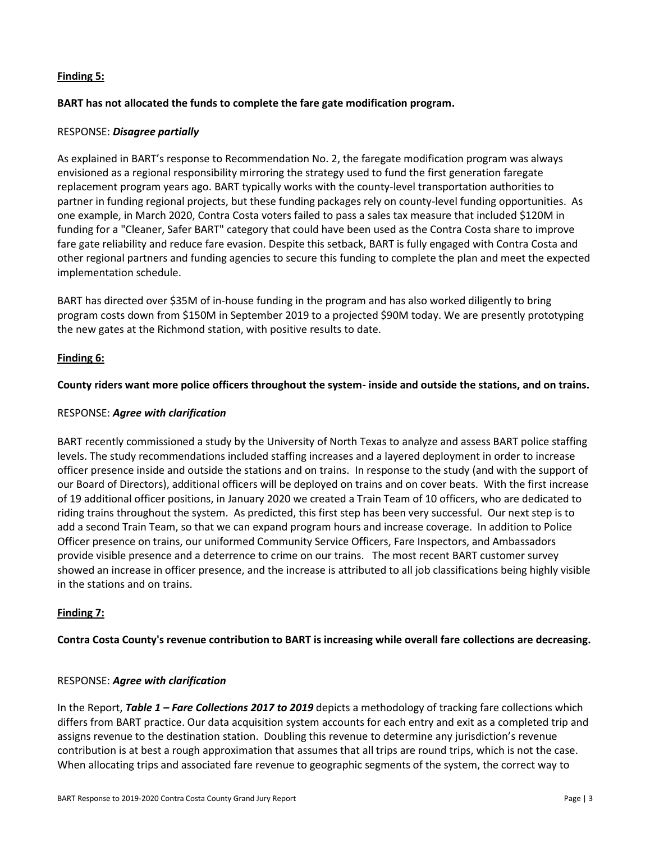# **Finding 5:**

# **BART has not allocated the funds to complete the fare gate modification program.**

### RESPONSE: *Disagree partially*

As explained in BART's response to Recommendation No. 2, the faregate modification program was always envisioned as a regional responsibility mirroring the strategy used to fund the first generation faregate replacement program years ago. BART typically works with the county-level transportation authorities to partner in funding regional projects, but these funding packages rely on county-level funding opportunities. As one example, in March 2020, Contra Costa voters failed to pass a sales tax measure that included \$120M in funding for a "Cleaner, Safer BART" category that could have been used as the Contra Costa share to improve fare gate reliability and reduce fare evasion. Despite this setback, BART is fully engaged with Contra Costa and other regional partners and funding agencies to secure this funding to complete the plan and meet the expected implementation schedule.

BART has directed over \$35M of in-house funding in the program and has also worked diligently to bring program costs down from \$150M in September 2019 to a projected \$90M today. We are presently prototyping the new gates at the Richmond station, with positive results to date.

# **Finding 6:**

# **County riders want more police officers throughout the system- inside and outside the stations, and on trains.**

# RESPONSE: *Agree with clarification*

BART recently commissioned a study by the University of North Texas to analyze and assess BART police staffing levels. The study recommendations included staffing increases and a layered deployment in order to increase officer presence inside and outside the stations and on trains. In response to the study (and with the support of our Board of Directors), additional officers will be deployed on trains and on cover beats. With the first increase of 19 additional officer positions, in January 2020 we created a Train Team of 10 officers, who are dedicated to riding trains throughout the system. As predicted, this first step has been very successful. Our next step is to add a second Train Team, so that we can expand program hours and increase coverage. In addition to Police Officer presence on trains, our uniformed Community Service Officers, Fare Inspectors, and Ambassadors provide visible presence and a deterrence to crime on our trains. The most recent BART customer survey showed an increase in officer presence, and the increase is attributed to all job classifications being highly visible in the stations and on trains.

# **Finding 7:**

**Contra Costa County's revenue contribution to BART is increasing while overall fare collections are decreasing.**

#### RESPONSE: *Agree with clarification*

In the Report, *Table 1 – Fare Collections 2017 to 2019* depicts a methodology of tracking fare collections which differs from BART practice. Our data acquisition system accounts for each entry and exit as a completed trip and assigns revenue to the destination station. Doubling this revenue to determine any jurisdiction's revenue contribution is at best a rough approximation that assumes that all trips are round trips, which is not the case. When allocating trips and associated fare revenue to geographic segments of the system, the correct way to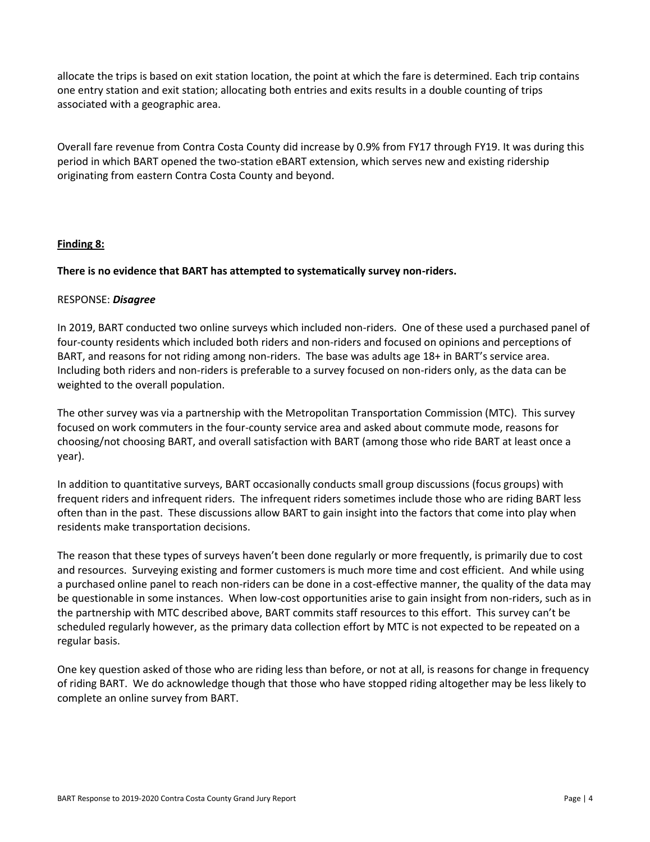allocate the trips is based on exit station location, the point at which the fare is determined. Each trip contains one entry station and exit station; allocating both entries and exits results in a double counting of trips associated with a geographic area.

Overall fare revenue from Contra Costa County did increase by 0.9% from FY17 through FY19. It was during this period in which BART opened the two-station eBART extension, which serves new and existing ridership originating from eastern Contra Costa County and beyond.

# **Finding 8:**

# **There is no evidence that BART has attempted to systematically survey non-riders.**

### RESPONSE: *Disagree*

In 2019, BART conducted two online surveys which included non-riders. One of these used a purchased panel of four-county residents which included both riders and non-riders and focused on opinions and perceptions of BART, and reasons for not riding among non-riders. The base was adults age 18+ in BART's service area. Including both riders and non-riders is preferable to a survey focused on non-riders only, as the data can be weighted to the overall population.

The other survey was via a partnership with the Metropolitan Transportation Commission (MTC). This survey focused on work commuters in the four-county service area and asked about commute mode, reasons for choosing/not choosing BART, and overall satisfaction with BART (among those who ride BART at least once a year).

In addition to quantitative surveys, BART occasionally conducts small group discussions (focus groups) with frequent riders and infrequent riders. The infrequent riders sometimes include those who are riding BART less often than in the past. These discussions allow BART to gain insight into the factors that come into play when residents make transportation decisions.

The reason that these types of surveys haven't been done regularly or more frequently, is primarily due to cost and resources. Surveying existing and former customers is much more time and cost efficient. And while using a purchased online panel to reach non-riders can be done in a cost-effective manner, the quality of the data may be questionable in some instances. When low-cost opportunities arise to gain insight from non-riders, such as in the partnership with MTC described above, BART commits staff resources to this effort. This survey can't be scheduled regularly however, as the primary data collection effort by MTC is not expected to be repeated on a regular basis.

One key question asked of those who are riding less than before, or not at all, is reasons for change in frequency of riding BART. We do acknowledge though that those who have stopped riding altogether may be less likely to complete an online survey from BART.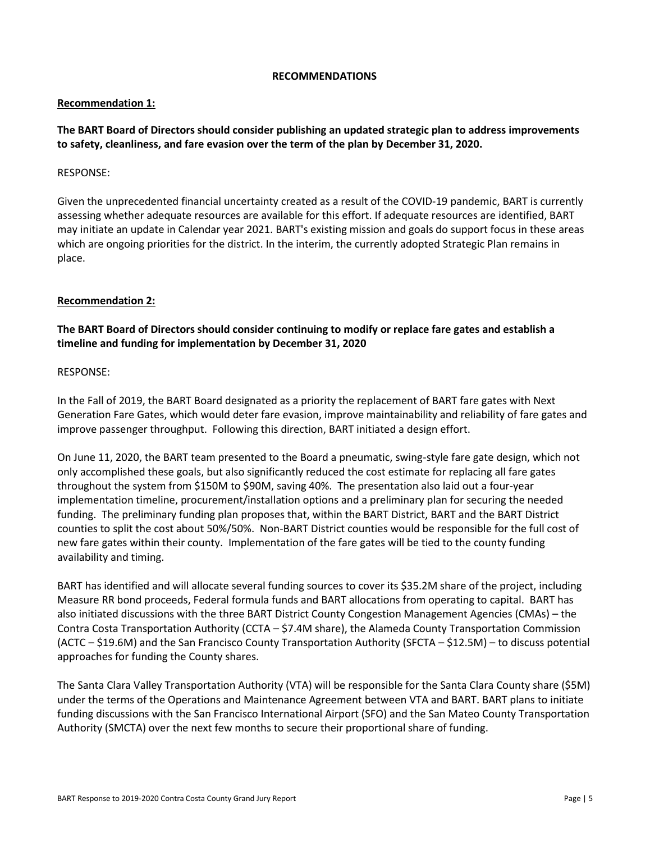#### **RECOMMENDATIONS**

# **Recommendation 1:**

# **The BART Board of Directors should consider publishing an updated strategic plan to address improvements to safety, cleanliness, and fare evasion over the term of the plan by December 31, 2020.**

# RESPONSE:

Given the unprecedented financial uncertainty created as a result of the COVID-19 pandemic, BART is currently assessing whether adequate resources are available for this effort. If adequate resources are identified, BART may initiate an update in Calendar year 2021. BART's existing mission and goals do support focus in these areas which are ongoing priorities for the district. In the interim, the currently adopted Strategic Plan remains in place.

### **Recommendation 2:**

# **The BART Board of Directors should consider continuing to modify or replace fare gates and establish a timeline and funding for implementation by December 31, 2020**

#### RESPONSE:

In the Fall of 2019, the BART Board designated as a priority the replacement of BART fare gates with Next Generation Fare Gates, which would deter fare evasion, improve maintainability and reliability of fare gates and improve passenger throughput. Following this direction, BART initiated a design effort.

On June 11, 2020, the BART team presented to the Board a pneumatic, swing-style fare gate design, which not only accomplished these goals, but also significantly reduced the cost estimate for replacing all fare gates throughout the system from \$150M to \$90M, saving 40%. The presentation also laid out a four-year implementation timeline, procurement/installation options and a preliminary plan for securing the needed funding. The preliminary funding plan proposes that, within the BART District, BART and the BART District counties to split the cost about 50%/50%. Non-BART District counties would be responsible for the full cost of new fare gates within their county. Implementation of the fare gates will be tied to the county funding availability and timing.

BART has identified and will allocate several funding sources to cover its \$35.2M share of the project, including Measure RR bond proceeds, Federal formula funds and BART allocations from operating to capital. BART has also initiated discussions with the three BART District County Congestion Management Agencies (CMAs) – the Contra Costa Transportation Authority (CCTA – \$7.4M share), the Alameda County Transportation Commission (ACTC – \$19.6M) and the San Francisco County Transportation Authority (SFCTA – \$12.5M) – to discuss potential approaches for funding the County shares.

The Santa Clara Valley Transportation Authority (VTA) will be responsible for the Santa Clara County share (\$5M) under the terms of the Operations and Maintenance Agreement between VTA and BART. BART plans to initiate funding discussions with the San Francisco International Airport (SFO) and the San Mateo County Transportation Authority (SMCTA) over the next few months to secure their proportional share of funding.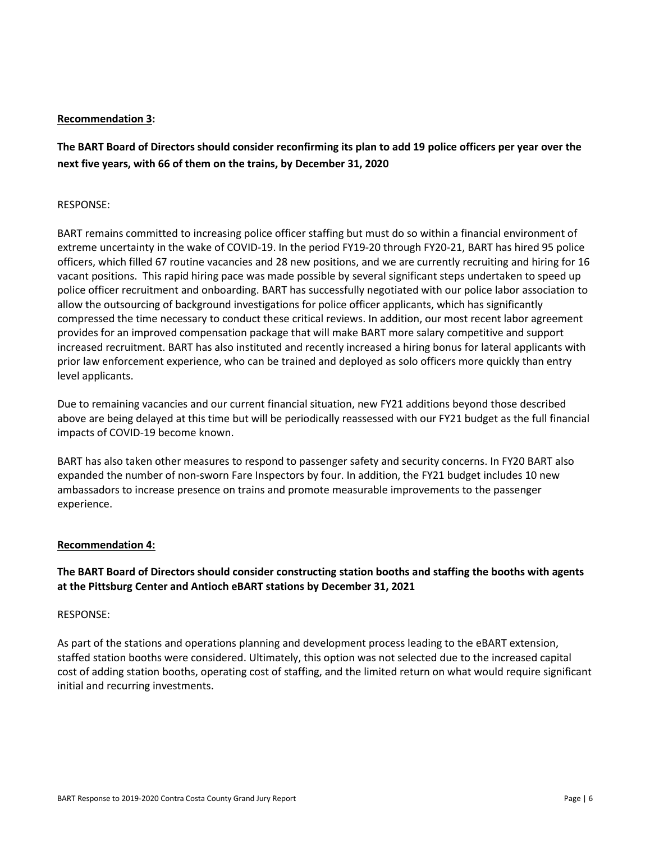### **Recommendation 3:**

**The BART Board of Directors should consider reconfirming its plan to add 19 police officers per year over the next five years, with 66 of them on the trains, by December 31, 2020**

#### RESPONSE:

BART remains committed to increasing police officer staffing but must do so within a financial environment of extreme uncertainty in the wake of COVID-19. In the period FY19-20 through FY20-21, BART has hired 95 police officers, which filled 67 routine vacancies and 28 new positions, and we are currently recruiting and hiring for 16 vacant positions. This rapid hiring pace was made possible by several significant steps undertaken to speed up police officer recruitment and onboarding. BART has successfully negotiated with our police labor association to allow the outsourcing of background investigations for police officer applicants, which has significantly compressed the time necessary to conduct these critical reviews. In addition, our most recent labor agreement provides for an improved compensation package that will make BART more salary competitive and support increased recruitment. BART has also instituted and recently increased a hiring bonus for lateral applicants with prior law enforcement experience, who can be trained and deployed as solo officers more quickly than entry level applicants.

Due to remaining vacancies and our current financial situation, new FY21 additions beyond those described above are being delayed at this time but will be periodically reassessed with our FY21 budget as the full financial impacts of COVID-19 become known.

BART has also taken other measures to respond to passenger safety and security concerns. In FY20 BART also expanded the number of non-sworn Fare Inspectors by four. In addition, the FY21 budget includes 10 new ambassadors to increase presence on trains and promote measurable improvements to the passenger experience.

#### **Recommendation 4:**

# **The BART Board of Directors should consider constructing station booths and staffing the booths with agents at the Pittsburg Center and Antioch eBART stations by December 31, 2021**

#### RESPONSE:

As part of the stations and operations planning and development process leading to the eBART extension, staffed station booths were considered. Ultimately, this option was not selected due to the increased capital cost of adding station booths, operating cost of staffing, and the limited return on what would require significant initial and recurring investments.